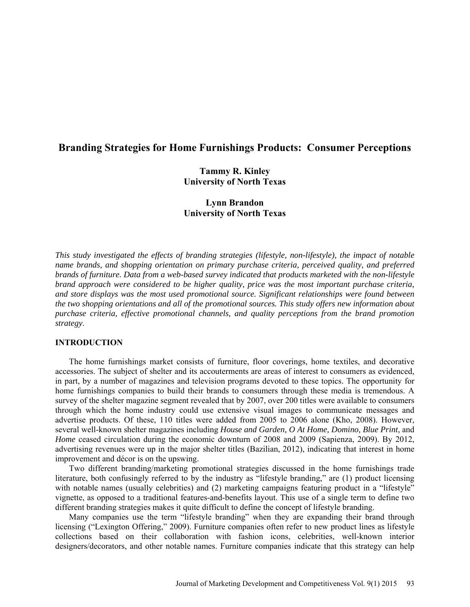# **Branding Strategies for Home Furnishings Products: Consumer Perceptions**

**Tammy R. Kinley University of North Texas** 

**Lynn Brandon University of North Texas** 

*This study investigated the effects of branding strategies (lifestyle, non-lifestyle), the impact of notable name brands, and shopping orientation on primary purchase criteria, perceived quality, and preferred brands of furniture. Data from a web-based survey indicated that products marketed with the non-lifestyle brand approach were considered to be higher quality, price was the most important purchase criteria, and store displays was the most used promotional source. Significant relationships were found between the two shopping orientations and all of the promotional sources. This study offers new information about purchase criteria, effective promotional channels, and quality perceptions from the brand promotion strategy*.

## **INTRODUCTION**

The home furnishings market consists of furniture, floor coverings, home textiles, and decorative accessories. The subject of shelter and its accouterments are areas of interest to consumers as evidenced, in part, by a number of magazines and television programs devoted to these topics. The opportunity for home furnishings companies to build their brands to consumers through these media is tremendous. A survey of the shelter magazine segment revealed that by 2007, over 200 titles were available to consumers through which the home industry could use extensive visual images to communicate messages and advertise products. Of these, 110 titles were added from 2005 to 2006 alone (Kho, 2008). However, several well-known shelter magazines including *House and Garden, O At Home, Domino, Blue Print*, and *Home* ceased circulation during the economic downturn of 2008 and 2009 (Sapienza, 2009). By 2012, advertising revenues were up in the major shelter titles (Bazilian, 2012), indicating that interest in home improvement and décor is on the upswing.

Two different branding/marketing promotional strategies discussed in the home furnishings trade literature, both confusingly referred to by the industry as "lifestyle branding," are (1) product licensing with notable names (usually celebrities) and (2) marketing campaigns featuring product in a "lifestyle" vignette, as opposed to a traditional features-and-benefits layout. This use of a single term to define two different branding strategies makes it quite difficult to define the concept of lifestyle branding.

Many companies use the term "lifestyle branding" when they are expanding their brand through licensing ("Lexington Offering," 2009). Furniture companies often refer to new product lines as lifestyle collections based on their collaboration with fashion icons, celebrities, well-known interior designers/decorators, and other notable names. Furniture companies indicate that this strategy can help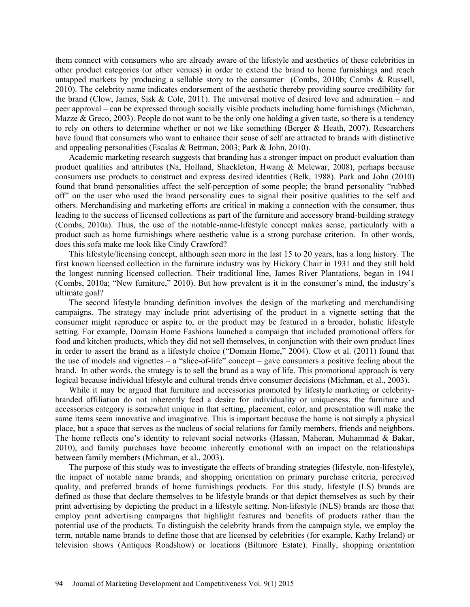them connect with consumers who are already aware of the lifestyle and aesthetics of these celebrities in other product categories (or other venues) in order to extend the brand to home furnishings and reach untapped markets by producing a sellable story to the consumer (Combs, 2010b; Combs & Russell, 2010). The celebrity name indicates endorsement of the aesthetic thereby providing source credibility for the brand (Clow, James, Sisk & Cole, 2011). The universal motive of desired love and admiration – and peer approval – can be expressed through socially visible products including home furnishings (Michman, Mazze  $\&$  Greco, 2003). People do not want to be the only one holding a given taste, so there is a tendency to rely on others to determine whether or not we like something (Berger & Heath, 2007). Researchers have found that consumers who want to enhance their sense of self are attracted to brands with distinctive and appealing personalities (Escalas & Bettman, 2003; Park & John, 2010).

Academic marketing research suggests that branding has a stronger impact on product evaluation than product qualities and attributes (Na, Holland, Shackleton, Hwang & Melewar*,* 2008), perhaps because consumers use products to construct and express desired identities (Belk, 1988). Park and John (2010) found that brand personalities affect the self-perception of some people; the brand personality "rubbed off" on the user who used the brand personality cues to signal their positive qualities to the self and others. Merchandising and marketing efforts are critical in making a connection with the consumer, thus leading to the success of licensed collections as part of the furniture and accessory brand-building strategy (Combs, 2010a). Thus, the use of the notable-name-lifestyle concept makes sense, particularly with a product such as home furnishings where aesthetic value is a strong purchase criterion. In other words, does this sofa make me look like Cindy Crawford?

This lifestyle/licensing concept, although seen more in the last 15 to 20 years, has a long history. The first known licensed collection in the furniture industry was by Hickory Chair in 1931 and they still hold the longest running licensed collection. Their traditional line, James River Plantations, began in 1941 (Combs, 2010a; "New furniture," 2010). But how prevalent is it in the consumer's mind, the industry's ultimate goal?

The second lifestyle branding definition involves the design of the marketing and merchandising campaigns. The strategy may include print advertising of the product in a vignette setting that the consumer might reproduce or aspire to, or the product may be featured in a broader, holistic lifestyle setting. For example, Domain Home Fashions launched a campaign that included promotional offers for food and kitchen products, which they did not sell themselves, in conjunction with their own product lines in order to assert the brand as a lifestyle choice ("Domain Home," 2004). Clow et al. (2011) found that the use of models and vignettes – a "slice-of-life" concept – gave consumers a positive feeling about the brand. In other words, the strategy is to sell the brand as a way of life. This promotional approach is very logical because individual lifestyle and cultural trends drive consumer decisions (Michman, et al., 2003).

While it may be argued that furniture and accessories promoted by lifestyle marketing or celebritybranded affiliation do not inherently feed a desire for individuality or uniqueness, the furniture and accessories category is somewhat unique in that setting, placement, color, and presentation will make the same items seem innovative and imaginative. This is important because the home is not simply a physical place, but a space that serves as the nucleus of social relations for family members, friends and neighbors. The home reflects one's identity to relevant social networks (Hassan, Maheran, Muhammad & Bakar, 2010), and family purchases have become inherently emotional with an impact on the relationships between family members (Michman, et al., 2003).

The purpose of this study was to investigate the effects of branding strategies (lifestyle, non-lifestyle), the impact of notable name brands, and shopping orientation on primary purchase criteria, perceived quality, and preferred brands of home furnishings products. For this study, lifestyle (LS) brands are defined as those that declare themselves to be lifestyle brands or that depict themselves as such by their print advertising by depicting the product in a lifestyle setting. Non-lifestyle (NLS) brands are those that employ print advertising campaigns that highlight features and benefits of products rather than the potential use of the products. To distinguish the celebrity brands from the campaign style, we employ the term, notable name brands to define those that are licensed by celebrities (for example, Kathy Ireland) or television shows (Antiques Roadshow) or locations (Biltmore Estate). Finally, shopping orientation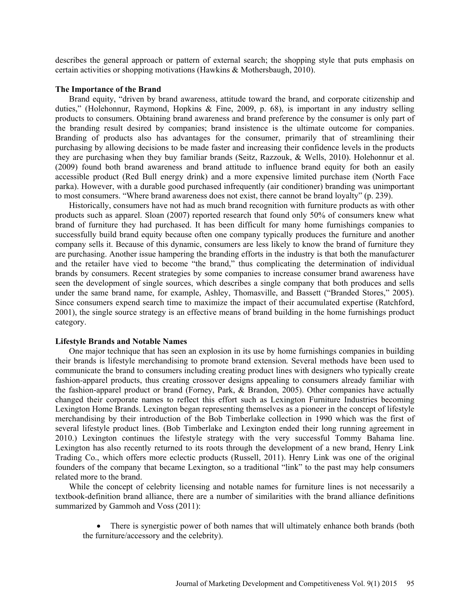describes the general approach or pattern of external search; the shopping style that puts emphasis on certain activities or shopping motivations (Hawkins & Mothersbaugh, 2010).

#### **The Importance of the Brand**

Brand equity, "driven by brand awareness, attitude toward the brand, and corporate citizenship and duties," (Holehonnur, Raymond, Hopkins & Fine, 2009, p. 68), is important in any industry selling products to consumers. Obtaining brand awareness and brand preference by the consumer is only part of the branding result desired by companies; brand insistence is the ultimate outcome for companies. Branding of products also has advantages for the consumer, primarily that of streamlining their purchasing by allowing decisions to be made faster and increasing their confidence levels in the products they are purchasing when they buy familiar brands (Seitz, Razzouk, & Wells, 2010). Holehonnur et al. (2009) found both brand awareness and brand attitude to influence brand equity for both an easily accessible product (Red Bull energy drink) and a more expensive limited purchase item (North Face parka). However, with a durable good purchased infrequently (air conditioner) branding was unimportant to most consumers. "Where brand awareness does not exist, there cannot be brand loyalty" (p. 239).

Historically, consumers have not had as much brand recognition with furniture products as with other products such as apparel. Sloan (2007) reported research that found only 50% of consumers knew what brand of furniture they had purchased. It has been difficult for many home furnishings companies to successfully build brand equity because often one company typically produces the furniture and another company sells it. Because of this dynamic, consumers are less likely to know the brand of furniture they are purchasing. Another issue hampering the branding efforts in the industry is that both the manufacturer and the retailer have vied to become "the brand," thus complicating the determination of individual brands by consumers. Recent strategies by some companies to increase consumer brand awareness have seen the development of single sources, which describes a single company that both produces and sells under the same brand name, for example, Ashley, Thomasville, and Bassett ("Branded Stores," 2005). Since consumers expend search time to maximize the impact of their accumulated expertise (Ratchford, 2001), the single source strategy is an effective means of brand building in the home furnishings product category.

### **Lifestyle Brands and Notable Names**

One major technique that has seen an explosion in its use by home furnishings companies in building their brands is lifestyle merchandising to promote brand extension*.* Several methods have been used to communicate the brand to consumers including creating product lines with designers who typically create fashion-apparel products, thus creating crossover designs appealing to consumers already familiar with the fashion-apparel product or brand (Forney, Park, & Brandon, 2005). Other companies have actually changed their corporate names to reflect this effort such as Lexington Furniture Industries becoming Lexington Home Brands. Lexington began representing themselves as a pioneer in the concept of lifestyle merchandising by their introduction of the Bob Timberlake collection in 1990 which was the first of several lifestyle product lines. (Bob Timberlake and Lexington ended their long running agreement in 2010.) Lexington continues the lifestyle strategy with the very successful Tommy Bahama line. Lexington has also recently returned to its roots through the development of a new brand, Henry Link Trading Co., which offers more eclectic products (Russell, 2011). Henry Link was one of the original founders of the company that became Lexington, so a traditional "link" to the past may help consumers related more to the brand.

While the concept of celebrity licensing and notable names for furniture lines is not necessarily a textbook-definition brand alliance, there are a number of similarities with the brand alliance definitions summarized by Gammoh and Voss (2011):

• There is synergistic power of both names that will ultimately enhance both brands (both the furniture/accessory and the celebrity).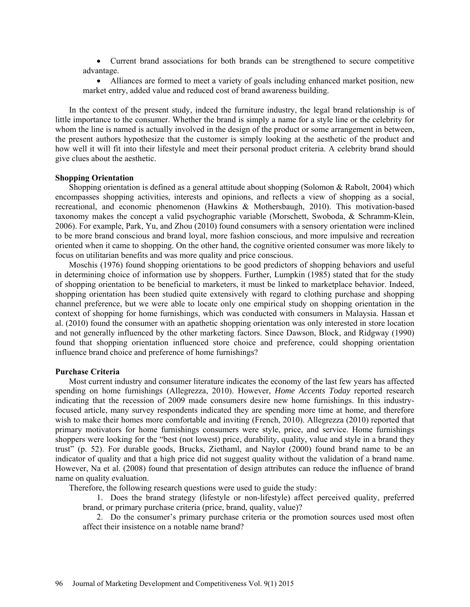Current brand associations for both brands can be strengthened to secure competitive advantage.

 Alliances are formed to meet a variety of goals including enhanced market position, new market entry, added value and reduced cost of brand awareness building.

In the context of the present study, indeed the furniture industry, the legal brand relationship is of little importance to the consumer. Whether the brand is simply a name for a style line or the celebrity for whom the line is named is actually involved in the design of the product or some arrangement in between, the present authors hypothesize that the customer is simply looking at the aesthetic of the product and how well it will fit into their lifestyle and meet their personal product criteria. A celebrity brand should give clues about the aesthetic.

# **Shopping Orientation**

Shopping orientation is defined as a general attitude about shopping (Solomon & Rabolt, 2004) which encompasses shopping activities, interests and opinions, and reflects a view of shopping as a social, recreational, and economic phenomenon (Hawkins & Mothersbaugh, 2010). This motivation-based taxonomy makes the concept a valid psychographic variable (Morschett, Swoboda, & Schramm-Klein, 2006). For example, Park, Yu, and Zhou (2010) found consumers with a sensory orientation were inclined to be more brand conscious and brand loyal, more fashion conscious, and more impulsive and recreation oriented when it came to shopping. On the other hand, the cognitive oriented consumer was more likely to focus on utilitarian benefits and was more quality and price conscious.

Moschis (1976) found shopping orientations to be good predictors of shopping behaviors and useful in determining choice of information use by shoppers. Further, Lumpkin (1985) stated that for the study of shopping orientation to be beneficial to marketers, it must be linked to marketplace behavior. Indeed, shopping orientation has been studied quite extensively with regard to clothing purchase and shopping channel preference, but we were able to locate only one empirical study on shopping orientation in the context of shopping for home furnishings, which was conducted with consumers in Malaysia. Hassan et al. (2010) found the consumer with an apathetic shopping orientation was only interested in store location and not generally influenced by the other marketing factors. Since Dawson, Block, and Ridgway (1990) found that shopping orientation influenced store choice and preference, could shopping orientation influence brand choice and preference of home furnishings?

#### **Purchase Criteria**

Most current industry and consumer literature indicates the economy of the last few years has affected spending on home furnishings (Allegrezza, 2010). However, *Home Accents Today* reported research indicating that the recession of 2009 made consumers desire new home furnishings. In this industryfocused article, many survey respondents indicated they are spending more time at home, and therefore wish to make their homes more comfortable and inviting (French, 2010). Allegrezza (2010) reported that primary motivators for home furnishings consumers were style, price, and service. Home furnishings shoppers were looking for the "best (not lowest) price, durability, quality, value and style in a brand they trust" (p. 52). For durable goods, Brucks, Ziethaml, and Naylor (2000) found brand name to be an indicator of quality and that a high price did not suggest quality without the validation of a brand name. However, Na et al. (2008) found that presentation of design attributes can reduce the influence of brand name on quality evaluation.

Therefore, the following research questions were used to guide the study:

1. Does the brand strategy (lifestyle or non-lifestyle) affect perceived quality, preferred brand, or primary purchase criteria (price, brand, quality, value)?

2. Do the consumer's primary purchase criteria or the promotion sources used most often affect their insistence on a notable name brand?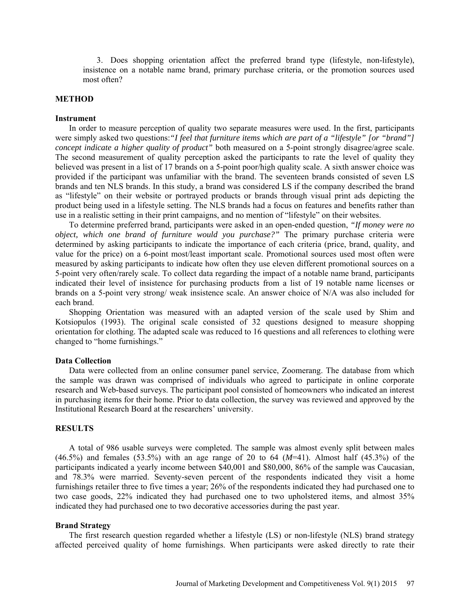3. Does shopping orientation affect the preferred brand type (lifestyle, non-lifestyle), insistence on a notable name brand, primary purchase criteria, or the promotion sources used most often?

### **METHOD**

### **Instrument**

In order to measure perception of quality two separate measures were used. In the first, participants were simply asked two questions:*"I feel that furniture items which are part of a "lifestyle" [or "brand"] concept indicate a higher quality of product"* both measured on a 5-point strongly disagree/agree scale. The second measurement of quality perception asked the participants to rate the level of quality they believed was present in a list of 17 brands on a 5-point poor/high quality scale. A sixth answer choice was provided if the participant was unfamiliar with the brand. The seventeen brands consisted of seven LS brands and ten NLS brands. In this study, a brand was considered LS if the company described the brand as "lifestyle" on their website or portrayed products or brands through visual print ads depicting the product being used in a lifestyle setting. The NLS brands had a focus on features and benefits rather than use in a realistic setting in their print campaigns, and no mention of "lifestyle" on their websites.

To determine preferred brand, participants were asked in an open-ended question, *"If money were no object, which one brand of furniture would you purchase?"* The primary purchase criteria were determined by asking participants to indicate the importance of each criteria (price, brand, quality, and value for the price) on a 6-point most/least important scale. Promotional sources used most often were measured by asking participants to indicate how often they use eleven different promotional sources on a 5-point very often/rarely scale. To collect data regarding the impact of a notable name brand, participants indicated their level of insistence for purchasing products from a list of 19 notable name licenses or brands on a 5-point very strong/ weak insistence scale. An answer choice of N/A was also included for each brand.

Shopping Orientation was measured with an adapted version of the scale used by Shim and Kotsiopulos (1993). The original scale consisted of 32 questions designed to measure shopping orientation for clothing. The adapted scale was reduced to 16 questions and all references to clothing were changed to "home furnishings."

#### **Data Collection**

Data were collected from an online consumer panel service, Zoomerang. The database from which the sample was drawn was comprised of individuals who agreed to participate in online corporate research and Web-based surveys. The participant pool consisted of homeowners who indicated an interest in purchasing items for their home. Prior to data collection, the survey was reviewed and approved by the Institutional Research Board at the researchers' university.

### **RESULTS**

A total of 986 usable surveys were completed. The sample was almost evenly split between males (46.5%) and females (53.5%) with an age range of 20 to 64 (*M*=41). Almost half (45.3%) of the participants indicated a yearly income between \$40,001 and \$80,000, 86% of the sample was Caucasian, and 78.3% were married. Seventy-seven percent of the respondents indicated they visit a home furnishings retailer three to five times a year; 26% of the respondents indicated they had purchased one to two case goods, 22% indicated they had purchased one to two upholstered items, and almost 35% indicated they had purchased one to two decorative accessories during the past year.

#### **Brand Strategy**

The first research question regarded whether a lifestyle (LS) or non-lifestyle (NLS) brand strategy affected perceived quality of home furnishings. When participants were asked directly to rate their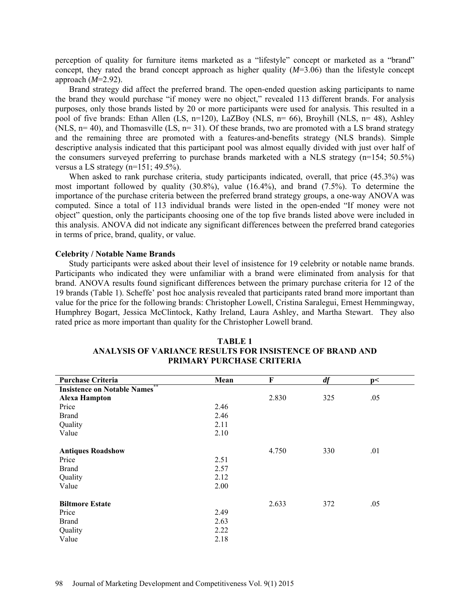perception of quality for furniture items marketed as a "lifestyle" concept or marketed as a "brand" concept, they rated the brand concept approach as higher quality (*M*=3.06) than the lifestyle concept approach (*M*=2.92).

Brand strategy did affect the preferred brand. The open-ended question asking participants to name the brand they would purchase "if money were no object," revealed 113 different brands. For analysis purposes, only those brands listed by 20 or more participants were used for analysis. This resulted in a pool of five brands: Ethan Allen (LS, n=120), LaZBoy (NLS, n= 66), Broyhill (NLS, n= 48), Ashley (NLS, n= 40), and Thomasville (LS, n= 31). Of these brands, two are promoted with a LS brand strategy and the remaining three are promoted with a features-and-benefits strategy (NLS brands). Simple descriptive analysis indicated that this participant pool was almost equally divided with just over half of the consumers surveyed preferring to purchase brands marketed with a NLS strategy (n=154; 50.5%) versus a LS strategy (n=151; 49.5%).

When asked to rank purchase criteria, study participants indicated, overall, that price (45.3%) was most important followed by quality (30.8%), value (16.4%), and brand (7.5%). To determine the importance of the purchase criteria between the preferred brand strategy groups, a one-way ANOVA was computed. Since a total of 113 individual brands were listed in the open-ended "If money were not object" question, only the participants choosing one of the top five brands listed above were included in this analysis. ANOVA did not indicate any significant differences between the preferred brand categories in terms of price, brand, quality, or value.

#### **Celebrity / Notable Name Brands**

Study participants were asked about their level of insistence for 19 celebrity or notable name brands. Participants who indicated they were unfamiliar with a brand were eliminated from analysis for that brand. ANOVA results found significant differences between the primary purchase criteria for 12 of the 19 brands (Table 1). Scheffe' post hoc analysis revealed that participants rated brand more important than value for the price for the following brands: Christopher Lowell, Cristina Saralegui, Ernest Hemmingway, Humphrey Bogart, Jessica McClintock, Kathy Ireland, Laura Ashley, and Martha Stewart. They also rated price as more important than quality for the Christopher Lowell brand.

| <b>Purchase Criteria</b>                 | Mean | F     | df  | p<  |  |
|------------------------------------------|------|-------|-----|-----|--|
| **<br><b>Insistence on Notable Names</b> |      |       |     |     |  |
| <b>Alexa Hampton</b>                     |      | 2.830 | 325 | .05 |  |
| Price                                    | 2.46 |       |     |     |  |
| <b>Brand</b>                             | 2.46 |       |     |     |  |
| Quality                                  | 2.11 |       |     |     |  |
| Value                                    | 2.10 |       |     |     |  |
|                                          |      |       |     |     |  |
| <b>Antiques Roadshow</b>                 |      | 4.750 | 330 | .01 |  |
| Price                                    | 2.51 |       |     |     |  |
| <b>Brand</b>                             | 2.57 |       |     |     |  |
| Quality                                  | 2.12 |       |     |     |  |
| Value                                    | 2.00 |       |     |     |  |
|                                          |      |       |     |     |  |
| <b>Biltmore Estate</b>                   |      | 2.633 | 372 | .05 |  |
| Price                                    | 2.49 |       |     |     |  |
| <b>Brand</b>                             | 2.63 |       |     |     |  |
| Quality                                  | 2.22 |       |     |     |  |
| Value                                    | 2.18 |       |     |     |  |

#### **TABLE 1 ANALYSIS OF VARIANCE RESULTS FOR INSISTENCE OF BRAND AND PRIMARY PURCHASE CRITERIA**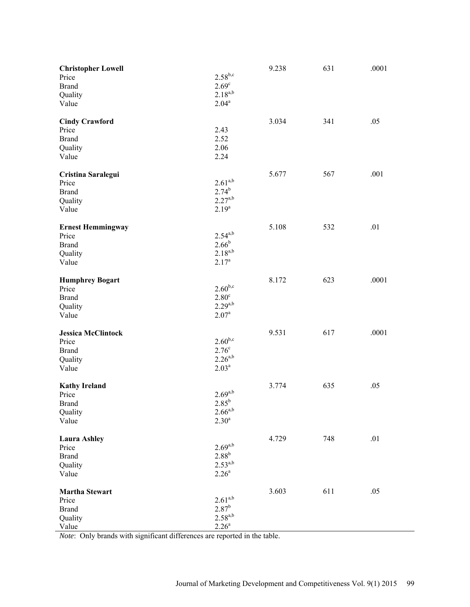| <b>Christopher Lowell</b><br>Price<br><b>Brand</b><br>Quality<br>Value | $2.58^{b,c}$<br>2.69 <sup>c</sup><br>$2.18^{a,b}$<br>$2.04^a$          | 9.238 | 631 | .0001 |
|------------------------------------------------------------------------|------------------------------------------------------------------------|-------|-----|-------|
| <b>Cindy Crawford</b><br>Price<br><b>Brand</b><br>Quality<br>Value     | 2.43<br>2.52<br>2.06<br>2.24                                           | 3.034 | 341 | .05   |
| Cristina Saralegui<br>Price<br><b>Brand</b><br>Quality<br>Value        | $2.61^{a,b}$<br>$2.74^{b}$<br>$2.27^{a,b}$<br>$2.19^{a}$               | 5.677 | 567 | .001  |
| <b>Ernest Hemmingway</b><br>Price<br><b>Brand</b><br>Quality<br>Value  | $2.54^{a,b}$<br>$2.66^{b}$<br>$2.18^{a,b}$<br>2.17 <sup>a</sup>        | 5.108 | 532 | .01   |
| <b>Humphrey Bogart</b><br>Price<br><b>Brand</b><br>Quality<br>Value    | $2.60^{b,c}$<br>2.80 <sup>c</sup><br>$2.29^{a,b}$<br>2.07 <sup>a</sup> | 8.172 | 623 | .0001 |
| <b>Jessica McClintock</b><br>Price<br><b>Brand</b><br>Quality<br>Value | $2.60^{b,c}$<br>$2.76^{\circ}$<br>$2.26^{a,b}$<br>2.03 <sup>a</sup>    | 9.531 | 617 | .0001 |
| <b>Kathy Ireland</b><br>Price<br><b>Brand</b><br>Quality<br>Value      | $2.69^{a,b}$<br>$2.85^{b}$<br>$2.66^{a,b}$<br>2.30 <sup>a</sup>        | 3.774 | 635 | .05   |
| <b>Laura Ashley</b><br>Price<br><b>Brand</b><br>Quality<br>Value       | $2.69^{a,b}$<br>$2.88^{b}$<br>$2.53^{a,b}$<br>2.26 <sup>a</sup>        | 4.729 | 748 | .01   |
| <b>Martha Stewart</b><br>Price<br><b>Brand</b><br>Quality<br>Value     | $2.61^{a,b}$<br>$2.87^{b}$<br>$2.58^{a,b}$<br>$2.26^{a}$               | 3.603 | 611 | .05   |

*Note*: Only brands with significant differences are reported in the table.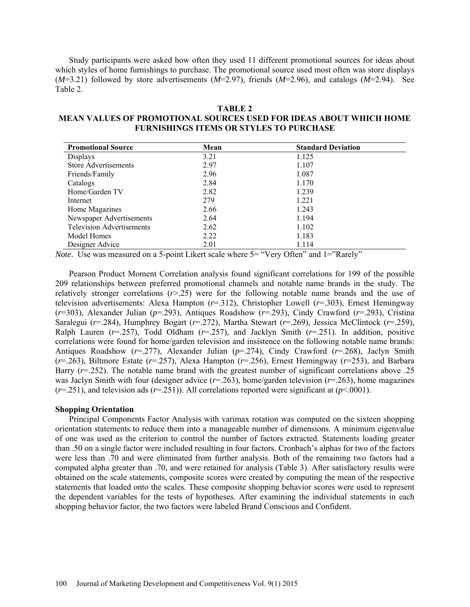Study participants were asked how often they used 11 different promotional sources for ideas about which styles of home furnishings to purchase. The promotional source used most often was store displays (*M*=3.21) followed by store advertisements (*M*=2.97), friends (*M*=2.96), and catalogs (*M*=2.94). See Table 2.

| н |  |
|---|--|
|---|--|

# **MEAN VALUES OF PROMOTIONAL SOURCES USED FOR IDEAS ABOUT WHICH HOME FURNISHINGS ITEMS OR STYLES TO PURCHASE**

| <b>Promotional Source</b>        | Mean | <b>Standard Deviation</b> |
|----------------------------------|------|---------------------------|
| Displays                         | 3.21 | 1.125                     |
| <b>Store Advertisements</b>      | 2.97 | 1.107                     |
| Friends/Family                   | 2.96 | 1.087                     |
| Catalogs                         | 2.84 | 1.170                     |
| Home/Garden TV                   | 2.82 | 1.239                     |
| Internet                         | 279  | 1.221                     |
| Home Magazines                   | 2.66 | 1.243                     |
| Newspaper Advertisements         | 2.64 | 1.194                     |
| <b>Television Advertisements</b> | 2.62 | 1.102                     |
| Model Homes                      | 2.22 | 1.183                     |
| Designer Advice                  | 2.01 | 1.114                     |

*Note*. Use was measured on a 5-point Likert scale where 5= "Very Often" and 1="Rarely"

Pearson Product Moment Correlation analysis found significant correlations for 199 of the possible 209 relationships between preferred promotional channels and notable name brands in the study. The relatively stronger correlations (*r*>.25) were for the following notable name brands and the use of television advertisements: Alexa Hampton (*r*=.312), Christopher Lowell (*r*=.303), Ernest Hemingway (*r*=303), Alexander Julian (*p*=.293), Antiques Roadshow (*r*=.293), Cindy Crawford (*r*=.293), Cristina Saralegui (*r*=.284), Humphrey Bogart (*r*=.272), Martha Stewart (*r*=.269), Jessica McClintock (*r*=.259), Ralph Lauren  $(r=257)$ , Todd Oldham  $(r=257)$ , and Jacklyn Smith  $(r=251)$ . In addition, positive correlations were found for home/garden television and insistence on the following notable name brands: Antiques Roadshow (*r*=.277), Alexander Julian (*p*=.274), Cindy Crawford (*r*=.268), Jaclyn Smith (*r*=.263), Biltmore Estate (*r*=.257), Alexa Hampton (*r*=.256), Ernest Hemingway (*r*=253), and Barbara Barry ( $r=0.252$ ). The notable name brand with the greatest number of significant correlations above .25 was Jaclyn Smith with four (designer advice (*r*=.263), home/garden television (*r*=.263), home magazines  $(r=251)$ , and television ads  $(r=251)$ ). All correlations reported were significant at  $(p<0.001)$ .

### **Shopping Orientation**

Principal Components Factor Analysis with varimax rotation was computed on the sixteen shopping orientation statements to reduce them into a manageable number of dimensions. A minimum eigenvalue of one was used as the criterion to control the number of factors extracted. Statements loading greater than .50 on a single factor were included resulting in four factors. Cronbach's alphas for two of the factors were less than .70 and were eliminated from further analysis. Both of the remaining two factors had a computed alpha greater than .70, and were retained for analysis (Table 3). After satisfactory results were obtained on the scale statements, composite scores were created by computing the mean of the respective statements that loaded onto the scales. These composite shopping behavior scores were used to represent the dependent variables for the tests of hypotheses. After examining the individual statements in each shopping behavior factor, the two factors were labeled Brand Conscious and Confident.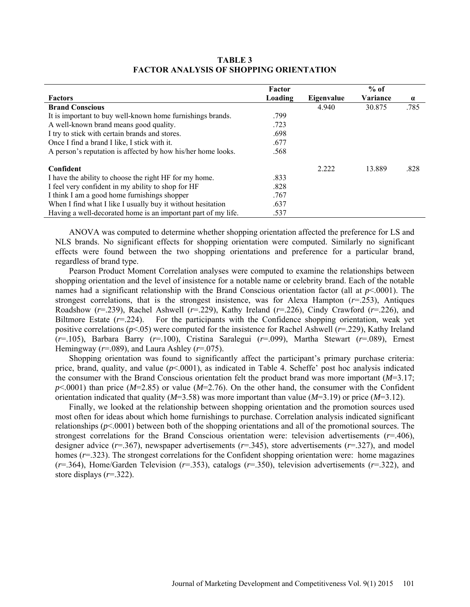**TABLE 3 FACTOR ANALYSIS OF SHOPPING ORIENTATION**

|                                                               | Factor  |            | $%$ of   |          |
|---------------------------------------------------------------|---------|------------|----------|----------|
| <b>Factors</b>                                                | Loading | Eigenvalue | Variance | $\alpha$ |
| <b>Brand Conscious</b>                                        |         | 4.940      | 30.875   | .785     |
| It is important to buy well-known home furnishings brands.    | .799    |            |          |          |
| A well-known brand means good quality.                        | .723    |            |          |          |
| I try to stick with certain brands and stores.                | .698    |            |          |          |
| Once I find a brand I like, I stick with it.                  | .677    |            |          |          |
| A person's reputation is affected by how his/her home looks.  | .568    |            |          |          |
| Confident                                                     |         | 2.222      | 13.889   | .828     |
| I have the ability to choose the right HF for my home.        | .833    |            |          |          |
| I feel very confident in my ability to shop for HF            | .828    |            |          |          |
| I think I am a good home furnishings shopper                  | .767    |            |          |          |
| When I find what I like I usually buy it without hesitation   | .637    |            |          |          |
| Having a well-decorated home is an important part of my life. | .537    |            |          |          |

ANOVA was computed to determine whether shopping orientation affected the preference for LS and NLS brands. No significant effects for shopping orientation were computed. Similarly no significant effects were found between the two shopping orientations and preference for a particular brand, regardless of brand type.

Pearson Product Moment Correlation analyses were computed to examine the relationships between shopping orientation and the level of insistence for a notable name or celebrity brand. Each of the notable names had a significant relationship with the Brand Conscious orientation factor (all at  $p$ <.0001). The strongest correlations, that is the strongest insistence, was for Alexa Hampton (*r*=.253), Antiques Roadshow (*r*=.239), Rachel Ashwell (*r*=.229), Kathy Ireland (*r*=.226), Cindy Crawford (*r*=.226), and Biltmore Estate  $(r=224)$ . For the participants with the Confidence shopping orientation, weak yet positive correlations (*p*<.05) were computed for the insistence for Rachel Ashwell (*r*=.229), Kathy Ireland (*r*=.105), Barbara Barry (*r*=.100), Cristina Saralegui (*r*=.099), Martha Stewart (*r*=.089), Ernest Hemingway ( $r = .089$ ), and Laura Ashley ( $r = .075$ ).

Shopping orientation was found to significantly affect the participant's primary purchase criteria: price, brand, quality, and value (*p*<.0001), as indicated in Table 4. Scheffe' post hoc analysis indicated the consumer with the Brand Conscious orientation felt the product brand was more important (*M*=3.17; *p*<.0001) than price (*M*=2.85) or value (*M*=2.76). On the other hand, the consumer with the Confident orientation indicated that quality (*M*=3.58) was more important than value (*M*=3.19) or price (*M*=3.12).

Finally, we looked at the relationship between shopping orientation and the promotion sources used most often for ideas about which home furnishings to purchase. Correlation analysis indicated significant relationships (*p*<.0001) between both of the shopping orientations and all of the promotional sources. The strongest correlations for the Brand Conscious orientation were: television advertisements (*r*=.406), designer advice (*r*=.367), newspaper advertisements (*r*=.345), store advertisements (*r*=.327), and model homes ( $r=0.323$ ). The strongest correlations for the Confident shopping orientation were: home magazines (*r*=.364), Home/Garden Television (*r*=.353), catalogs (*r*=.350), television advertisements (*r*=.322), and store displays (*r*=.322).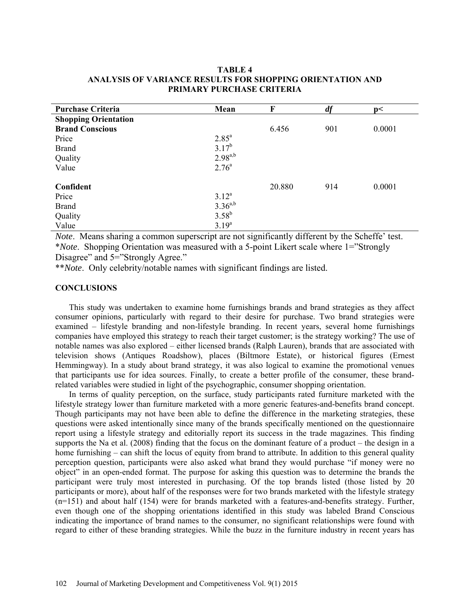# **TABLE 4 ANALYSIS OF VARIANCE RESULTS FOR SHOPPING ORIENTATION AND PRIMARY PURCHASE CRITERIA**

| <b>Purchase Criteria</b>    | Mean              | F      | df  | p<     |
|-----------------------------|-------------------|--------|-----|--------|
| <b>Shopping Orientation</b> |                   |        |     |        |
| <b>Brand Conscious</b>      |                   | 6.456  | 901 | 0.0001 |
| Price                       | $2.85^{\circ}$    |        |     |        |
| <b>Brand</b>                | $3.17^{b}$        |        |     |        |
| Quality                     | $2.98^{a,b}$      |        |     |        |
| Value                       | 2.76 <sup>a</sup> |        |     |        |
|                             |                   |        |     |        |
| Confident                   |                   | 20.880 | 914 | 0.0001 |
| Price                       | $3.12^a$          |        |     |        |
| <b>Brand</b>                | $3.36^{a,b}$      |        |     |        |
| Quality                     | $3.58^{b}$        |        |     |        |
| Value                       | $3.19^{a}$        |        |     |        |

*Note*. Means sharing a common superscript are not significantly different by the Scheffe' test. \**Note*. Shopping Orientation was measured with a 5-point Likert scale where 1="Strongly Disagree" and 5="Strongly Agree."

\*\**Note*. Only celebrity/notable names with significant findings are listed.

# **CONCLUSIONS**

This study was undertaken to examine home furnishings brands and brand strategies as they affect consumer opinions, particularly with regard to their desire for purchase. Two brand strategies were examined – lifestyle branding and non-lifestyle branding. In recent years, several home furnishings companies have employed this strategy to reach their target customer; is the strategy working? The use of notable names was also explored – either licensed brands (Ralph Lauren), brands that are associated with television shows (Antiques Roadshow), places (Biltmore Estate), or historical figures (Ernest Hemmingway). In a study about brand strategy, it was also logical to examine the promotional venues that participants use for idea sources. Finally, to create a better profile of the consumer, these brandrelated variables were studied in light of the psychographic, consumer shopping orientation.

In terms of quality perception, on the surface, study participants rated furniture marketed with the lifestyle strategy lower than furniture marketed with a more generic features-and-benefits brand concept. Though participants may not have been able to define the difference in the marketing strategies, these questions were asked intentionally since many of the brands specifically mentioned on the questionnaire report using a lifestyle strategy and editorially report its success in the trade magazines. This finding supports the Na et al. (2008) finding that the focus on the dominant feature of a product – the design in a home furnishing – can shift the locus of equity from brand to attribute. In addition to this general quality perception question, participants were also asked what brand they would purchase "if money were no object" in an open-ended format. The purpose for asking this question was to determine the brands the participant were truly most interested in purchasing. Of the top brands listed (those listed by 20 participants or more), about half of the responses were for two brands marketed with the lifestyle strategy (n=151) and about half (154) were for brands marketed with a features-and-benefits strategy. Further, even though one of the shopping orientations identified in this study was labeled Brand Conscious indicating the importance of brand names to the consumer, no significant relationships were found with regard to either of these branding strategies. While the buzz in the furniture industry in recent years has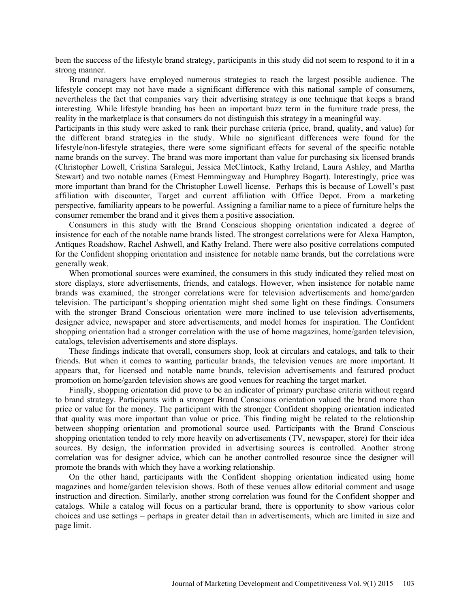been the success of the lifestyle brand strategy, participants in this study did not seem to respond to it in a strong manner.

Brand managers have employed numerous strategies to reach the largest possible audience. The lifestyle concept may not have made a significant difference with this national sample of consumers, nevertheless the fact that companies vary their advertising strategy is one technique that keeps a brand interesting. While lifestyle branding has been an important buzz term in the furniture trade press, the reality in the marketplace is that consumers do not distinguish this strategy in a meaningful way.

Participants in this study were asked to rank their purchase criteria (price, brand, quality, and value) for the different brand strategies in the study. While no significant differences were found for the lifestyle/non-lifestyle strategies, there were some significant effects for several of the specific notable name brands on the survey. The brand was more important than value for purchasing six licensed brands (Christopher Lowell, Cristina Saralegui, Jessica McClintock, Kathy Ireland, Laura Ashley, and Martha Stewart) and two notable names (Ernest Hemmingway and Humphrey Bogart). Interestingly, price was more important than brand for the Christopher Lowell license. Perhaps this is because of Lowell's past affiliation with discounter, Target and current affiliation with Office Depot. From a marketing perspective, familiarity appears to be powerful. Assigning a familiar name to a piece of furniture helps the consumer remember the brand and it gives them a positive association.

Consumers in this study with the Brand Conscious shopping orientation indicated a degree of insistence for each of the notable name brands listed. The strongest correlations were for Alexa Hampton, Antiques Roadshow, Rachel Ashwell, and Kathy Ireland. There were also positive correlations computed for the Confident shopping orientation and insistence for notable name brands, but the correlations were generally weak.

When promotional sources were examined, the consumers in this study indicated they relied most on store displays, store advertisements, friends, and catalogs. However, when insistence for notable name brands was examined, the stronger correlations were for television advertisements and home/garden television. The participant's shopping orientation might shed some light on these findings. Consumers with the stronger Brand Conscious orientation were more inclined to use television advertisements, designer advice, newspaper and store advertisements, and model homes for inspiration. The Confident shopping orientation had a stronger correlation with the use of home magazines, home/garden television, catalogs, television advertisements and store displays.

These findings indicate that overall, consumers shop, look at circulars and catalogs, and talk to their friends. But when it comes to wanting particular brands, the television venues are more important. It appears that, for licensed and notable name brands, television advertisements and featured product promotion on home/garden television shows are good venues for reaching the target market.

Finally, shopping orientation did prove to be an indicator of primary purchase criteria without regard to brand strategy. Participants with a stronger Brand Conscious orientation valued the brand more than price or value for the money. The participant with the stronger Confident shopping orientation indicated that quality was more important than value or price. This finding might be related to the relationship between shopping orientation and promotional source used. Participants with the Brand Conscious shopping orientation tended to rely more heavily on advertisements (TV, newspaper, store) for their idea sources. By design, the information provided in advertising sources is controlled. Another strong correlation was for designer advice, which can be another controlled resource since the designer will promote the brands with which they have a working relationship.

On the other hand, participants with the Confident shopping orientation indicated using home magazines and home/garden television shows. Both of these venues allow editorial comment and usage instruction and direction. Similarly, another strong correlation was found for the Confident shopper and catalogs. While a catalog will focus on a particular brand, there is opportunity to show various color choices and use settings – perhaps in greater detail than in advertisements, which are limited in size and page limit.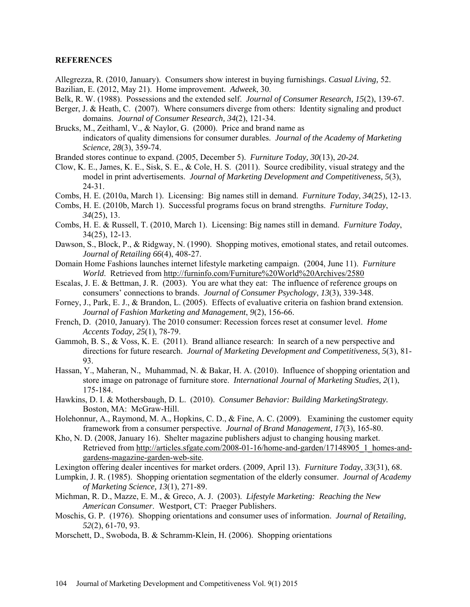### **REFERENCES**

- Allegrezza, R. (2010, January). Consumers show interest in buying furnishings. *Casual Living,* 52. Bazilian, E. (2012, May 21). Home improvement. *Adweek*, 30.
- Belk, R. W. (1988). Possessions and the extended self. *Journal of Consumer Research, 15*(2), 139-67.
- Berger, J. & Heath, C. (2007). Where consumers diverge from others: Identity signaling and product domains. *Journal of Consumer Research, 34*(2), 121-34.
- Brucks, M., Zeithaml, V., & Naylor, G. (2000). Price and brand name as indicators of quality dimensions for consumer durables. *Journal of the Academy of Marketing Science, 28*(3), 359-74.
- Branded stores continue to expand. (2005, December 5). *Furniture Today, 30*(13), *20-24.*
- Clow, K. E., James, K. E., Sisk, S. E., & Cole, H. S. (2011). Source credibility, visual strategy and the model in print advertisements. *Journal of Marketing Development and Competitiveness, 5*(3), 24-31.
- Combs, H. E. (2010a, March 1). Licensing: Big names still in demand. *Furniture Today*, *34*(25), 12-13.
- Combs, H. E. (2010b, March 1). Successful programs focus on brand strengths. *Furniture Today*, *34*(25), 13.
- Combs, H. E. & Russell, T. (2010, March 1). Licensing: Big names still in demand. *Furniture Today*, 34(25), 12-13.
- Dawson, S., Block, P., & Ridgway, N. (1990). Shopping motives, emotional states, and retail outcomes. *Journal of Retailing 66*(4), 408-27.
- Domain Home Fashions launches internet lifestyle marketing campaign. (2004, June 11). *Furniture World*. Retrieved from http://furninfo.com/Furniture%20World%20Archives/2580
- Escalas, J. E. & Bettman, J. R. (2003). You are what they eat: The influence of reference groups on consumers' connections to brands. *Journal of Consumer Psychology*, *13*(3), 339-348.
- Forney, J., Park, E. J., & Brandon, L. (2005). Effects of evaluative criteria on fashion brand extension. *Journal of Fashion Marketing and Management*, *9*(2), 156-66.
- French, D. (2010, January). The 2010 consumer: Recession forces reset at consumer level. *Home Accents Today, 25*(1), 78-79.
- Gammoh, B. S., & Voss, K. E. (2011). Brand alliance research: In search of a new perspective and directions for future research. *Journal of Marketing Development and Competitiveness, 5*(3), 81- 93.
- Hassan, Y., Maheran, N., Muhammad, N. & Bakar, H. A. (2010). Influence of shopping orientation and store image on patronage of furniture store. *International Journal of Marketing Studies, 2*(1), 175-184.
- Hawkins, D. I. & Mothersbaugh, D. L. (2010). *Consumer Behavior: Building MarketingStrategy.*  Boston, MA: McGraw-Hill.
- Holehonnur, A., Raymond, M. A., Hopkins, C. D., & Fine, A. C. (2009). Examining the customer equity framework from a consumer perspective. *Journal of Brand Management, 17*(3), 165-80.
- Kho, N. D. (2008, January 16). Shelter magazine publishers adjust to changing housing market. Retrieved from http://articles.sfgate.com/2008-01-16/home-and-garden/17148905\_1\_homes-andgardens-magazine-garden-web-site.
- Lexington offering dealer incentives for market orders. (2009, April 13). *Furniture Today*, *33*(31), 68.
- Lumpkin, J. R. (1985). Shopping orientation segmentation of the elderly consumer. *Journal of Academy of Marketing Science, 13*(1), 271-89.
- Michman, R. D., Mazze, E. M., & Greco, A. J. (2003). *Lifestyle Marketing: Reaching the New American Consumer*. Westport, CT: Praeger Publishers.
- Moschis, G. P. (1976). Shopping orientations and consumer uses of information. *Journal of Retailing, 52*(2), 61-70, 93.
- Morschett, D., Swoboda, B. & Schramm-Klein, H. (2006). Shopping orientations